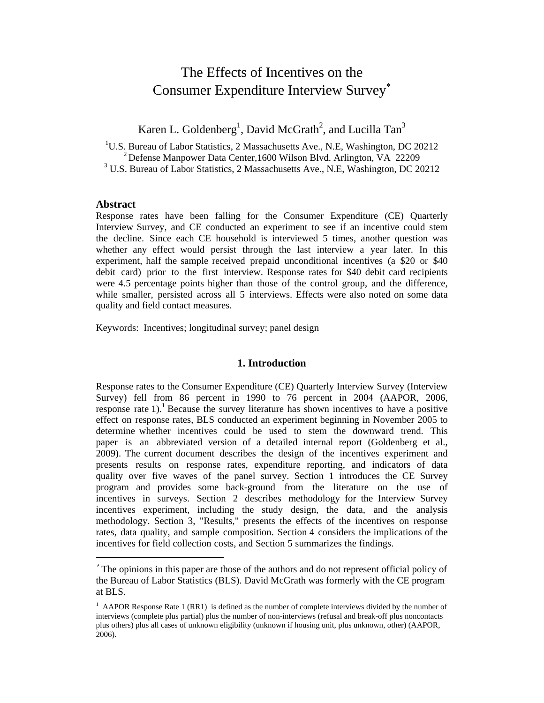# The Effects of Incentives on the Consumer Expenditure Interview Survey<sup>∗</sup>

Karen L. Goldenberg<sup>1</sup>, David McGrath<sup>2</sup>, and Lucilla Tan<sup>3</sup>

<sup>1</sup>U.S. Bureau of Labor Statistics, 2 Massachusetts Ave., N.E, Washington, DC 20212 <sup>2</sup>Defense Manpower Data Center,1600 Wilson Blvd. Arlington, VA 22209

<sup>3</sup> U.S. Bureau of Labor Statistics, 2 Massachusetts Ave., N.E. Washington, DC 20212

### **Abstract**

Response rates have been falling for the Consumer Expenditure (CE) Quarterly Interview Survey, and CE conducted an experiment to see if an incentive could stem the decline. Since each CE household is interviewed 5 times, another question was whether any effect would persist through the last interview a year later. In this experiment, half the sample received prepaid unconditional incentives (a \$20 or \$40 debit card) prior to the first interview. Response rates for \$40 debit card recipients were 4.5 percentage points higher than those of the control group, and the difference, while smaller, persisted across all 5 interviews. Effects were also noted on some data quality and field contact measures.

Keywords: Incentives; longitudinal survey; panel design

#### **1. Introduction**

Response rates to the Consumer Expenditure (CE) Quarterly Interview Survey (Interview Survey) fell from 86 percent in 1990 to 76 percent in 2004 (AAPOR, 2006, response rate  $1$ ).<sup>1</sup> Because the survey literature has shown incentives to have a positive effect on response rates, BLS conducted an experiment beginning in November 2005 to determine whether incentives could be used to stem the downward trend. This paper is an abbreviated version of a detailed internal report (Goldenberg et al., 2009). The current document describes the design of the incentives experiment and presents results on response rates, expenditure reporting, and indicators of data quality over five waves of the panel survey. Section 1 introduces the CE Survey program and provides some back-ground from the literature on the use of incentives in surveys. Section 2 describes methodology for the Interview Survey incentives experiment, including the study design, the data, and the analysis methodology. Section 3, "Results," presents the effects of the incentives on response rates, data quality, and sample composition. Section 4 considers the implications of the incentives for field collection costs, and Section 5 summarizes the findings.

The opinions in this paper are those of the authors and do not represent official policy of the Bureau of Labor Statistics (BLS). David McGrath was formerly with the CE program at BLS.

<sup>&</sup>lt;sup>1</sup> AAPOR Response Rate 1 (RR1) is defined as the number of complete interviews divided by the number of interviews (complete plus partial) plus the number of non-interviews (refusal and break-off plus noncontacts plus others) plus all cases of unknown eligibility (unknown if housing unit, plus unknown, other) (AAPOR, 2006).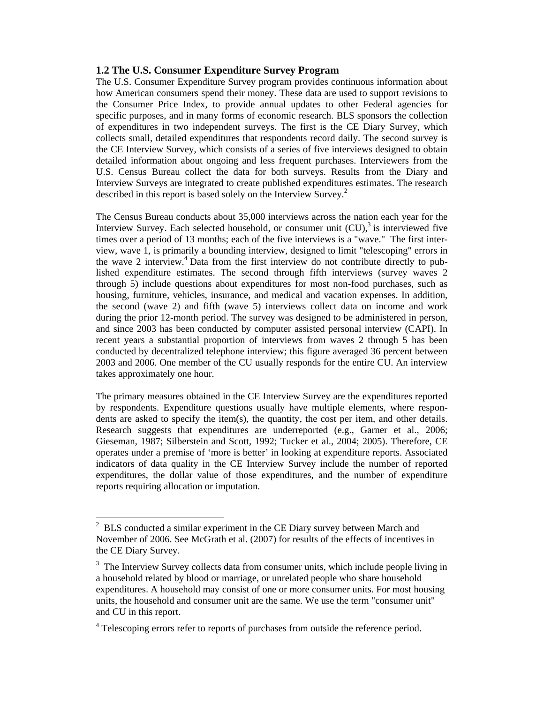### **1.2 The U.S. Consumer Expenditure Survey Program**

The U.S. Consumer Expenditure Survey program provides continuous information about how American consumers spend their money. These data are used to support revisions to the Consumer Price Index, to provide annual updates to other Federal agencies for specific purposes, and in many forms of economic research. BLS sponsors the collection of expenditures in two independent surveys. The first is the CE Diary Survey, which collects small, detailed expenditures that respondents record daily. The second survey is the CE Interview Survey, which consists of a series of five interviews designed to obtain detailed information about ongoing and less frequent purchases. Interviewers from the U.S. Census Bureau collect the data for both surveys. Results from the Diary and Interview Surveys are integrated to create published expenditures estimates. The research described in this report is based solely on the Interview Survey.<sup>2</sup>

The Census Bureau conducts about 35,000 interviews across the nation each year for the Interview Survey. Each selected household, or consumer unit  $(CU)$ , is interviewed five times over a period of 13 months; each of the five interviews is a "wave." The first interview, wave 1, is primarily a bounding interview, designed to limit "telescoping" errors in the wave 2 interview.<sup>4</sup> Data from the first interview do not contribute directly to published expenditure estimates. The second through fifth interviews (survey waves 2 through 5) include questions about expenditures for most non-food purchases, such as housing, furniture, vehicles, insurance, and medical and vacation expenses. In addition, the second (wave 2) and fifth (wave 5) interviews collect data on income and work during the prior 12-month period. The survey was designed to be administered in person, and since 2003 has been conducted by computer assisted personal interview (CAPI). In recent years a substantial proportion of interviews from waves 2 through 5 has been conducted by decentralized telephone interview; this figure averaged 36 percent between 2003 and 2006. One member of the CU usually responds for the entire CU. An interview takes approximately one hour.

The primary measures obtained in the CE Interview Survey are the expenditures reported by respondents. Expenditure questions usually have multiple elements, where respondents are asked to specify the item(s), the quantity, the cost per item, and other details. Research suggests that expenditures are underreported (e.g., Garner et al., 2006; Gieseman, 1987; Silberstein and Scott, 1992; Tucker et al., 2004; 2005). Therefore, CE operates under a premise of 'more is better' in looking at expenditure reports. Associated indicators of data quality in the CE Interview Survey include the number of reported expenditures, the dollar value of those expenditures, and the number of expenditure reports requiring allocation or imputation.

 $2^2$  BLS conducted a similar experiment in the CE Diary survey between March and November of 2006. See McGrath et al. (2007) for results of the effects of incentives in the CE Diary Survey.

<sup>&</sup>lt;sup>3</sup> The Interview Survey collects data from consumer units, which include people living in a household related by blood or marriage, or unrelated people who share household expenditures. A household may consist of one or more consumer units. For most housing units, the household and consumer unit are the same. We use the term "consumer unit" and CU in this report.

<sup>&</sup>lt;sup>4</sup> Telescoping errors refer to reports of purchases from outside the reference period.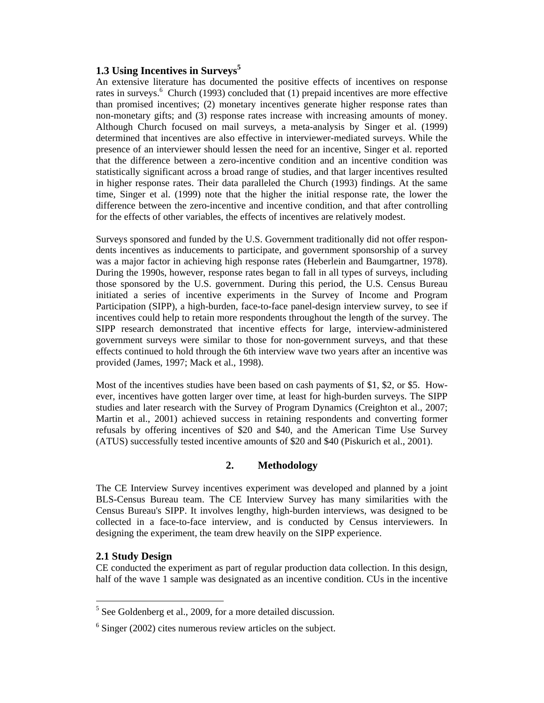### **1.3 Using Incentives in Surveys<sup>5</sup>**

An extensive literature has documented the positive effects of incentives on response rates in surveys.<sup>6</sup> Church (1993) concluded that (1) prepaid incentives are more effective than promised incentives; (2) monetary incentives generate higher response rates than non-monetary gifts; and (3) response rates increase with increasing amounts of money. Although Church focused on mail surveys, a meta-analysis by Singer et al. (1999) determined that incentives are also effective in interviewer-mediated surveys. While the presence of an interviewer should lessen the need for an incentive, Singer et al. reported that the difference between a zero-incentive condition and an incentive condition was statistically significant across a broad range of studies, and that larger incentives resulted in higher response rates. Their data paralleled the Church (1993) findings. At the same time, Singer et al. (1999) note that the higher the initial response rate, the lower the difference between the zero-incentive and incentive condition, and that after controlling for the effects of other variables, the effects of incentives are relatively modest.

Surveys sponsored and funded by the U.S. Government traditionally did not offer respondents incentives as inducements to participate, and government sponsorship of a survey was a major factor in achieving high response rates (Heberlein and Baumgartner, 1978). During the 1990s, however, response rates began to fall in all types of surveys, including those sponsored by the U.S. government. During this period, the U.S. Census Bureau initiated a series of incentive experiments in the Survey of Income and Program Participation (SIPP), a high-burden, face-to-face panel-design interview survey, to see if incentives could help to retain more respondents throughout the length of the survey. The SIPP research demonstrated that incentive effects for large, interview-administered government surveys were similar to those for non-government surveys, and that these effects continued to hold through the 6th interview wave two years after an incentive was provided (James, 1997; Mack et al., 1998).

Most of the incentives studies have been based on cash payments of \$1, \$2, or \$5. However, incentives have gotten larger over time, at least for high-burden surveys. The SIPP studies and later research with the Survey of Program Dynamics (Creighton et al., 2007; Martin et al., 2001) achieved success in retaining respondents and converting former refusals by offering incentives of \$20 and \$40, and the American Time Use Survey (ATUS) successfully tested incentive amounts of \$20 and \$40 (Piskurich et al., 2001).

# **2. Methodology**

The CE Interview Survey incentives experiment was developed and planned by a joint BLS-Census Bureau team. The CE Interview Survey has many similarities with the Census Bureau's SIPP. It involves lengthy, high-burden interviews, was designed to be collected in a face-to-face interview, and is conducted by Census interviewers. In designing the experiment, the team drew heavily on the SIPP experience.

### **2.1 Study Design**

CE conducted the experiment as part of regular production data collection. In this design, half of the wave 1 sample was designated as an incentive condition. CUs in the incentive

 $<sup>5</sup>$  See Goldenberg et al., 2009, for a more detailed discussion.</sup>

 $6$  Singer (2002) cites numerous review articles on the subject.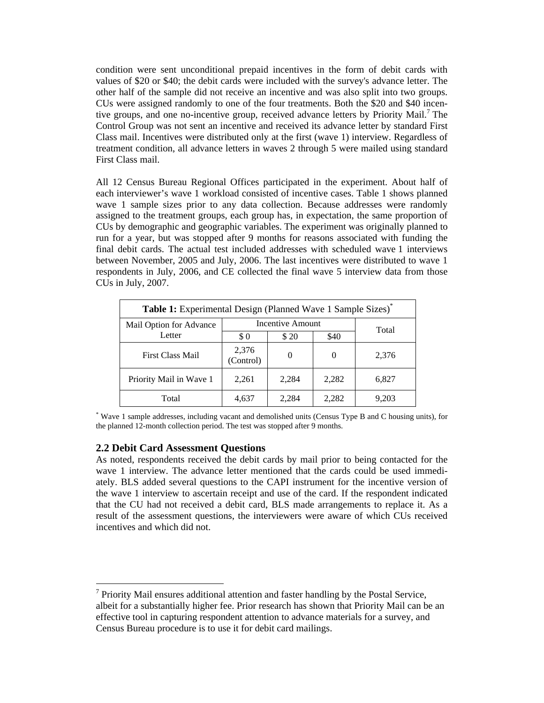condition were sent unconditional prepaid incentives in the form of debit cards with values of \$20 or \$40; the debit cards were included with the survey's advance letter. The other half of the sample did not receive an incentive and was also split into two groups. CUs were assigned randomly to one of the four treatments. Both the \$20 and \$40 incentive groups, and one no-incentive group, received advance letters by Priority Mail.<sup>7</sup> The Control Group was not sent an incentive and received its advance letter by standard First Class mail. Incentives were distributed only at the first (wave 1) interview. Regardless of treatment condition, all advance letters in waves 2 through 5 were mailed using standard First Class mail.

All 12 Census Bureau Regional Offices participated in the experiment. About half of each interviewer's wave 1 workload consisted of incentive cases. Table 1 shows planned wave 1 sample sizes prior to any data collection. Because addresses were randomly assigned to the treatment groups, each group has, in expectation, the same proportion of CUs by demographic and geographic variables. The experiment was originally planned to run for a year, but was stopped after 9 months for reasons associated with funding the final debit cards. The actual test included addresses with scheduled wave 1 interviews between November, 2005 and July, 2006. The last incentives were distributed to wave 1 respondents in July, 2006, and CE collected the final wave 5 interview data from those CUs in July, 2007.

| Table 1: Experimental Design (Planned Wave 1 Sample Sizes)* |                    |                  |          |       |  |  |
|-------------------------------------------------------------|--------------------|------------------|----------|-------|--|--|
| Mail Option for Advance                                     |                    | Incentive Amount |          |       |  |  |
| Letter                                                      | \$0                | \$20             | \$40     | Total |  |  |
| First Class Mail                                            | 2,376<br>(Control) | $\theta$         | $\theta$ | 2,376 |  |  |
| Priority Mail in Wave 1                                     | 2,261              | 2,284            | 2,282    | 6,827 |  |  |
| Total                                                       | 4,637              | 2.284            | 2,282    | 9.203 |  |  |

\* Wave 1 sample addresses, including vacant and demolished units (Census Type B and C housing units), for the planned 12-month collection period. The test was stopped after 9 months.

### **2.2 Debit Card Assessment Questions**

As noted, respondents received the debit cards by mail prior to being contacted for the wave 1 interview. The advance letter mentioned that the cards could be used immediately. BLS added several questions to the CAPI instrument for the incentive version of the wave 1 interview to ascertain receipt and use of the card. If the respondent indicated that the CU had not received a debit card, BLS made arrangements to replace it. As a result of the assessment questions, the interviewers were aware of which CUs received incentives and which did not.

 $7$  Priority Mail ensures additional attention and faster handling by the Postal Service, albeit for a substantially higher fee. Prior research has shown that Priority Mail can be an effective tool in capturing respondent attention to advance materials for a survey, and Census Bureau procedure is to use it for debit card mailings.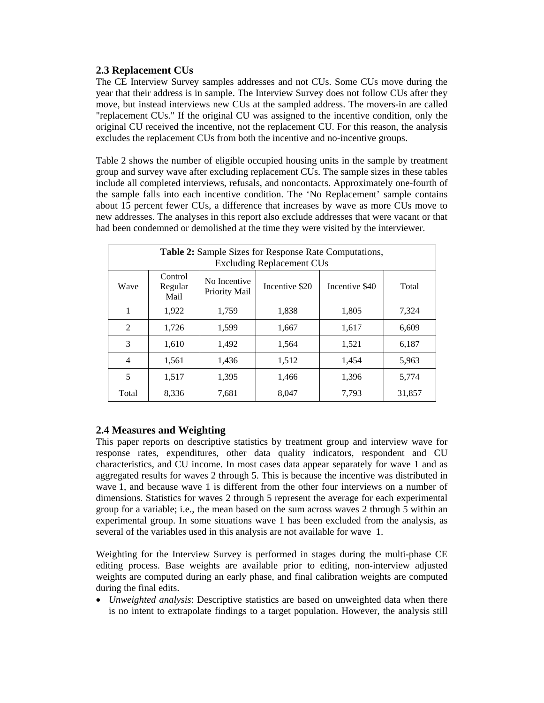# **2.3 Replacement CUs**

The CE Interview Survey samples addresses and not CUs. Some CUs move during the year that their address is in sample. The Interview Survey does not follow CUs after they move, but instead interviews new CUs at the sampled address. The movers-in are called "replacement CUs." If the original CU was assigned to the incentive condition, only the original CU received the incentive, not the replacement CU. For this reason, the analysis excludes the replacement CUs from both the incentive and no-incentive groups.

Table 2 shows the number of eligible occupied housing units in the sample by treatment group and survey wave after excluding replacement CUs. The sample sizes in these tables include all completed interviews, refusals, and noncontacts. Approximately one-fourth of the sample falls into each incentive condition. The 'No Replacement' sample contains about 15 percent fewer CUs, a difference that increases by wave as more CUs move to new addresses. The analyses in this report also exclude addresses that were vacant or that had been condemned or demolished at the time they were visited by the interviewer.

| <b>Table 2:</b> Sample Sizes for Response Rate Computations,<br><b>Excluding Replacement CUs</b> |                            |                               |                |                |        |  |  |
|--------------------------------------------------------------------------------------------------|----------------------------|-------------------------------|----------------|----------------|--------|--|--|
| Wave                                                                                             | Control<br>Regular<br>Mail | No Incentive<br>Priority Mail | Incentive \$20 | Incentive \$40 | Total  |  |  |
| 1                                                                                                | 1,922                      | 1,759                         | 1.838          | 1,805          | 7,324  |  |  |
| $\overline{2}$                                                                                   | 1,726                      | 1,599                         | 1,667          | 1,617          | 6,609  |  |  |
| 3                                                                                                | 1,610                      | 1,492                         | 1,564          | 1,521          | 6,187  |  |  |
| $\overline{4}$                                                                                   | 1,561                      | 1,436                         | 1,512          | 1,454          | 5,963  |  |  |
| 5                                                                                                | 1.517                      | 1,395                         | 1,466          | 1,396          | 5,774  |  |  |
| Total                                                                                            | 8,336                      | 7,681                         | 8,047          | 7,793          | 31,857 |  |  |

# **2.4 Measures and Weighting**

This paper reports on descriptive statistics by treatment group and interview wave for response rates, expenditures, other data quality indicators, respondent and CU characteristics, and CU income. In most cases data appear separately for wave 1 and as aggregated results for waves 2 through 5. This is because the incentive was distributed in wave 1, and because wave 1 is different from the other four interviews on a number of dimensions. Statistics for waves 2 through 5 represent the average for each experimental group for a variable; i.e., the mean based on the sum across waves 2 through 5 within an experimental group. In some situations wave 1 has been excluded from the analysis, as several of the variables used in this analysis are not available for wave 1.

Weighting for the Interview Survey is performed in stages during the multi-phase CE editing process. Base weights are available prior to editing, non-interview adjusted weights are computed during an early phase, and final calibration weights are computed during the final edits.

 *Unweighted analysis*: Descriptive statistics are based on unweighted data when there is no intent to extrapolate findings to a target population. However, the analysis still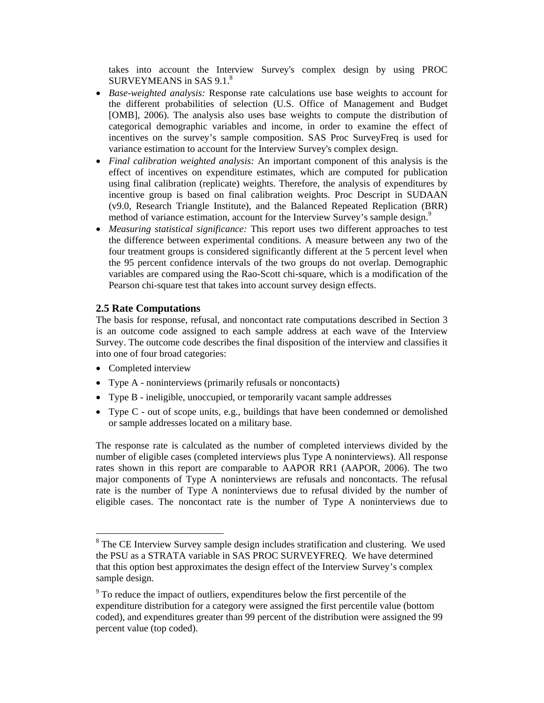takes into account the Interview Survey's complex design by using PROC SURVEYMEANS in SAS 9.1.<sup>8</sup>

- *Base-weighted analysis:* Response rate calculations use base weights to account for the different probabilities of selection (U.S. Office of Management and Budget [OMB], 2006). The analysis also uses base weights to compute the distribution of categorical demographic variables and income, in order to examine the effect of incentives on the survey's sample composition. SAS Proc SurveyFreq is used for variance estimation to account for the Interview Survey's complex design.
- *Final calibration weighted analysis:* An important component of this analysis is the effect of incentives on expenditure estimates, which are computed for publication using final calibration (replicate) weights. Therefore, the analysis of expenditures by incentive group is based on final calibration weights. Proc Descript in SUDAAN (v9.0, Research Triangle Institute), and the Balanced Repeated Replication (BRR) method of variance estimation, account for the Interview Survey's sample design.<sup>9</sup>
- *Measuring statistical significance:* This report uses two different approaches to test the difference between experimental conditions. A measure between any two of the four treatment groups is considered significantly different at the 5 percent level when the 95 percent confidence intervals of the two groups do not overlap. Demographic variables are compared using the Rao-Scott chi-square, which is a modification of the Pearson chi-square test that takes into account survey design effects.

### **2.5 Rate Computations**

The basis for response, refusal, and noncontact rate computations described in Section 3 is an outcome code assigned to each sample address at each wave of the Interview Survey. The outcome code describes the final disposition of the interview and classifies it into one of four broad categories:

- Completed interview
- Type A noninterviews (primarily refusals or noncontacts)
- Type B ineligible, unoccupied, or temporarily vacant sample addresses
- Type C out of scope units, e.g., buildings that have been condemned or demolished or sample addresses located on a military base.

The response rate is calculated as the number of completed interviews divided by the number of eligible cases (completed interviews plus Type A noninterviews). All response rates shown in this report are comparable to AAPOR RR1 (AAPOR, 2006). The two major components of Type A noninterviews are refusals and noncontacts. The refusal rate is the number of Type A noninterviews due to refusal divided by the number of eligible cases. The noncontact rate is the number of Type A noninterviews due to

<sup>&</sup>lt;sup>8</sup> The CE Interview Survey sample design includes stratification and clustering. We used the PSU as a STRATA variable in SAS PROC SURVEYFREQ. We have determined that this option best approximates the design effect of the Interview Survey's complex sample design.

<sup>&</sup>lt;sup>9</sup> To reduce the impact of outliers, expenditures below the first percentile of the expenditure distribution for a category were assigned the first percentile value (bottom coded), and expenditures greater than 99 percent of the distribution were assigned the 99 percent value (top coded).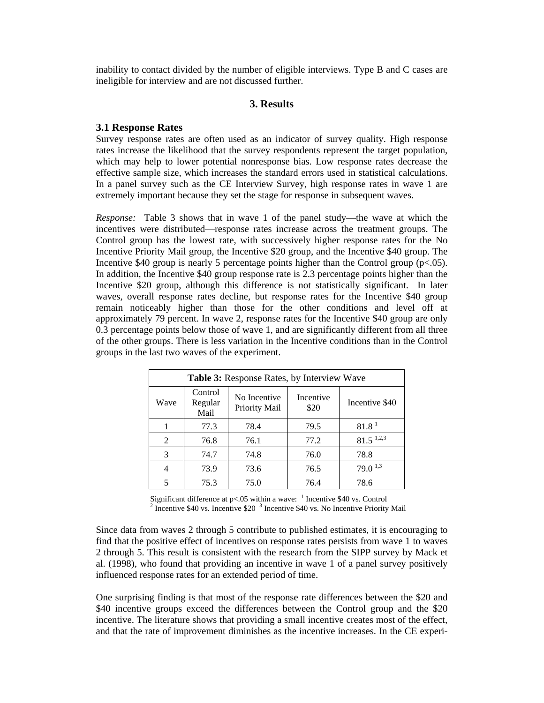inability to contact divided by the number of eligible interviews. Type B and C cases are ineligible for interview and are not discussed further.

### **3. Results**

#### **3.1 Response Rates**

Survey response rates are often used as an indicator of survey quality. High response rates increase the likelihood that the survey respondents represent the target population, which may help to lower potential nonresponse bias. Low response rates decrease the effective sample size, which increases the standard errors used in statistical calculations. In a panel survey such as the CE Interview Survey, high response rates in wave 1 are extremely important because they set the stage for response in subsequent waves.

*Response:* Table 3 shows that in wave 1 of the panel study—the wave at which the incentives were distributed—response rates increase across the treatment groups. The Control group has the lowest rate, with successively higher response rates for the No Incentive Priority Mail group, the Incentive \$20 group, and the Incentive \$40 group. The Incentive \$40 group is nearly 5 percentage points higher than the Control group ( $p < .05$ ). In addition, the Incentive \$40 group response rate is 2.3 percentage points higher than the Incentive \$20 group, although this difference is not statistically significant. In later waves, overall response rates decline, but response rates for the Incentive \$40 group remain noticeably higher than those for the other conditions and level off at approximately 79 percent. In wave 2, response rates for the Incentive \$40 group are only 0.3 percentage points below those of wave 1, and are significantly different from all three of the other groups. There is less variation in the Incentive conditions than in the Control groups in the last two waves of the experiment.

| <b>Table 3:</b> Response Rates, by Interview Wave |                            |                               |                   |                         |  |  |
|---------------------------------------------------|----------------------------|-------------------------------|-------------------|-------------------------|--|--|
| Wave                                              | Control<br>Regular<br>Mail | No Incentive<br>Priority Mail | Incentive<br>\$20 | Incentive \$40          |  |  |
|                                                   | 77.3                       | 78.4                          | 79.5              | 81.8 <sup>1</sup>       |  |  |
| 2                                                 | 76.8                       | 76.1                          | 77.2              | $81.5$ <sup>1,2,3</sup> |  |  |
| 3                                                 | 74.7                       | 74.8                          | 76.0              | 78.8                    |  |  |
|                                                   | 73.9                       | 73.6                          | 76.5              | $79.0^{\,1,3}$          |  |  |
|                                                   | 75.3                       | 75.0                          | 76.4              | 78.6                    |  |  |

Significant difference at p<.05 within a wave:  $\frac{1}{2}$  Incentive \$40 vs. Control  $\frac{2}{5}$  Incentive \$40 vs. No Incentive Briggins Incentive \$40 vs. Incentive \$20 <sup>3</sup> Incentive \$40 vs. No Incentive Priority Mail

Since data from waves 2 through 5 contribute to published estimates, it is encouraging to find that the positive effect of incentives on response rates persists from wave 1 to waves 2 through 5. This result is consistent with the research from the SIPP survey by Mack et al. (1998), who found that providing an incentive in wave 1 of a panel survey positively influenced response rates for an extended period of time.

One surprising finding is that most of the response rate differences between the \$20 and \$40 incentive groups exceed the differences between the Control group and the \$20 incentive. The literature shows that providing a small incentive creates most of the effect, and that the rate of improvement diminishes as the incentive increases. In the CE experi-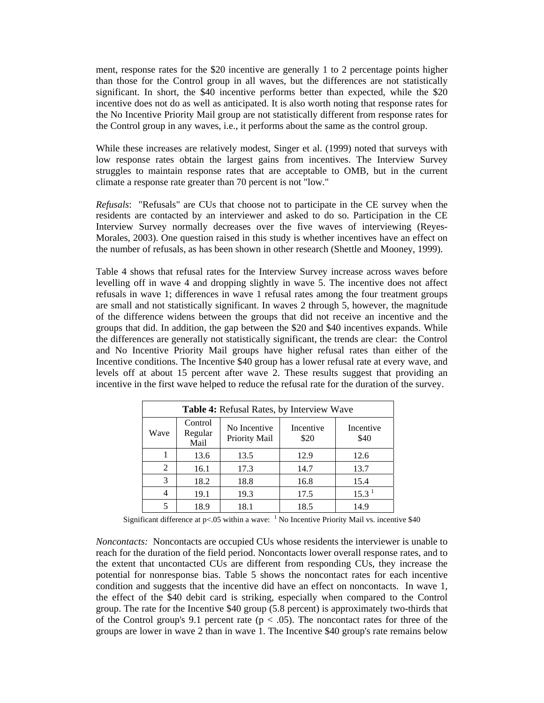ment, response rates for the \$20 incentive are generally 1 to 2 percentage points higher than those for the Control group in all waves, but the differences are not statistically significant. In short, the \$40 incentive performs better than expected, while the \$20 incentive does not do as well as anticipated. It is also worth noting that response rates for the No Incentive Priority Mail group are not statistically different from response rates for the Control group in any waves, i.e., it performs about the same as the control group.

While these increases are relatively modest, Singer et al. (1999) noted that surveys with low response rates obtain the largest gains from incentives. The Interview Survey struggles to maintain response rates that are acceptable to OMB, but in the current climate a response rate greater than 70 percent is not "low."

*Refusals*: "Refusals" are CUs that choose not to participate in the CE survey when the residents are contacted by an interviewer and asked to do so. Participation in the CE Interview Survey normally decreases over the five waves of interviewing (Reyes-Morales, 2003). One question raised in this study is whether incentives have an effect on the number of refusals, as has been shown in other research (Shettle and Mooney, 1999).

Table 4 shows that refusal rates for the Interview Survey increase across waves before levelling off in wave 4 and dropping slightly in wave 5. The incentive does not affect refusals in wave 1; differences in wave 1 refusal rates among the four treatment groups are small and not statistically significant. In waves 2 through 5, however, the magnitude of the difference widens between the groups that did not receive an incentive and the groups that did. In addition, the gap between the \$20 and \$40 incentives expands. While the differences are generally not statistically significant, the trends are clear: the Control and No Incentive Priority Mail groups have higher refusal rates than either of the Incentive conditions. The Incentive \$40 group has a lower refusal rate at every wave, and levels off at about 15 percent after wave 2. These results suggest that providing an incentive in the first wave helped to reduce the refusal rate for the duration of the survey.

| Table 4: Refusal Rates, by Interview Wave |                            |                               |                   |                   |  |  |
|-------------------------------------------|----------------------------|-------------------------------|-------------------|-------------------|--|--|
| Wave                                      | Control<br>Regular<br>Mail | No Incentive<br>Priority Mail | Incentive<br>\$20 | Incentive<br>\$40 |  |  |
|                                           | 13.6                       | 13.5                          | 12.9              | 12.6              |  |  |
| 2                                         | 16.1                       | 17.3                          | 14.7              | 13.7              |  |  |
| 3                                         | 18.2                       | 18.8                          | 16.8              | 15.4              |  |  |
| 4                                         | 19.1                       | 19.3                          | 17.5              | 15.3 <sup>1</sup> |  |  |
|                                           | 18.9                       | 18.1                          | 18.5              | 14.9              |  |  |

Significant difference at  $p<0.05$  within a wave: <sup>1</sup> No Incentive Priority Mail vs. incentive \$40

*Noncontacts:* Noncontacts are occupied CUs whose residents the interviewer is unable to reach for the duration of the field period. Noncontacts lower overall response rates, and to the extent that uncontacted CUs are different from responding CUs, they increase the potential for nonresponse bias. Table 5 shows the noncontact rates for each incentive condition and suggests that the incentive did have an effect on noncontacts. In wave 1, the effect of the \$40 debit card is striking, especially when compared to the Control group. The rate for the Incentive \$40 group (5.8 percent) is approximately two-thirds that of the Control group's 9.1 percent rate ( $p < .05$ ). The noncontact rates for three of the groups are lower in wave 2 than in wave 1. The Incentive \$40 group's rate remains below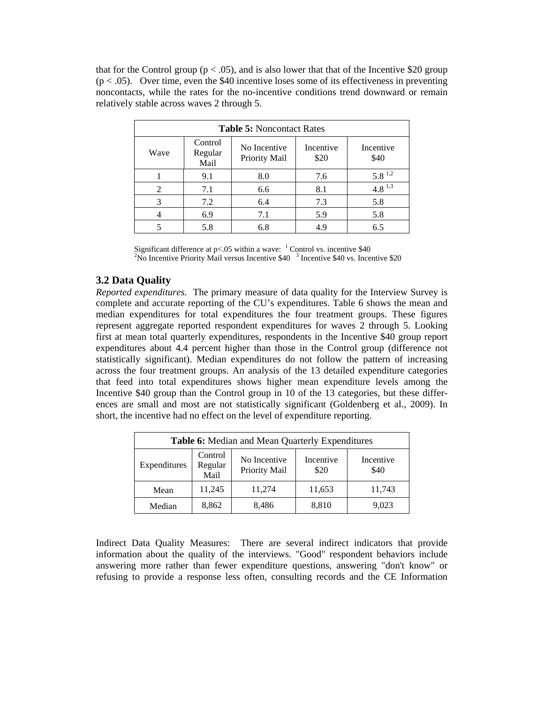that for the Control group ( $p < .05$ ), and is also lower that that of the Incentive \$20 group  $(p < .05)$ . Over time, even the \$40 incentive loses some of its effectiveness in preventing noncontacts, while the rates for the no-incentive conditions trend downward or remain relatively stable across waves 2 through 5.

| <b>Table 5: Noncontact Rates</b> |                            |                               |                   |                   |  |  |
|----------------------------------|----------------------------|-------------------------------|-------------------|-------------------|--|--|
| Wave                             | Control<br>Regular<br>Mail | No Incentive<br>Priority Mail | Incentive<br>\$20 | Incentive<br>\$40 |  |  |
|                                  | 9.1                        | 8.0                           | 7.6               | $5.8^{\,1.2}$     |  |  |
| 2                                | 7.1                        | 6.6                           | 8.1               | $4.8^{1,3}$       |  |  |
| 3                                | 7.2                        | 6.4                           | 7.3               | 5.8               |  |  |
|                                  | 6.9                        | 7.1                           | 5.9               | 5.8               |  |  |
|                                  | 5.8                        | 6.8                           | 4.9               | 6.5               |  |  |

Significant difference at  $p<0.05$  within a wave:  $^{-1}$  Control vs. incentive \$40<br><sup>2</sup>No Incentive Priority Meil versue Incentive \$40<sup>-3</sup> Incentive \$40 vs. Incen No Incentive Priority Mail versus Incentive \$40<sup>3</sup> Incentive \$40 vs. Incentive \$20

### **3.2 Data Quality**

*Reported expenditures.* The primary measure of data quality for the Interview Survey is complete and accurate reporting of the CU's expenditures. Table 6 shows the mean and median expenditures for total expenditures the four treatment groups. These figures represent aggregate reported respondent expenditures for waves 2 through 5. Looking first at mean total quarterly expenditures, respondents in the Incentive \$40 group report expenditures about 4.4 percent higher than those in the Control group (difference not statistically significant). Median expenditures do not follow the pattern of increasing across the four treatment groups. An analysis of the 13 detailed expenditure categories that feed into total expenditures shows higher mean expenditure levels among the Incentive \$40 group than the Control group in 10 of the 13 categories, but these differences are small and most are not statistically significant (Goldenberg et al., 2009). In short, the incentive had no effect on the level of expenditure reporting.

| <b>Table 6:</b> Median and Mean Quarterly Expenditures |                                                                                                       |        |        |        |  |  |  |
|--------------------------------------------------------|-------------------------------------------------------------------------------------------------------|--------|--------|--------|--|--|--|
| Expenditures                                           | Control<br>Incentive<br>No Incentive<br>Incentive<br>Regular<br>Priority Mail<br>\$40<br>\$20<br>Mail |        |        |        |  |  |  |
| Mean                                                   | 11,245                                                                                                | 11,274 | 11,653 | 11,743 |  |  |  |
| Median                                                 | 8,862                                                                                                 | 8,486  | 8,810  | 9,023  |  |  |  |

Indirect Data Quality Measures: There are several indirect indicators that provide information about the quality of the interviews. "Good" respondent behaviors include answering more rather than fewer expenditure questions, answering "don't know" or refusing to provide a response less often, consulting records and the CE Information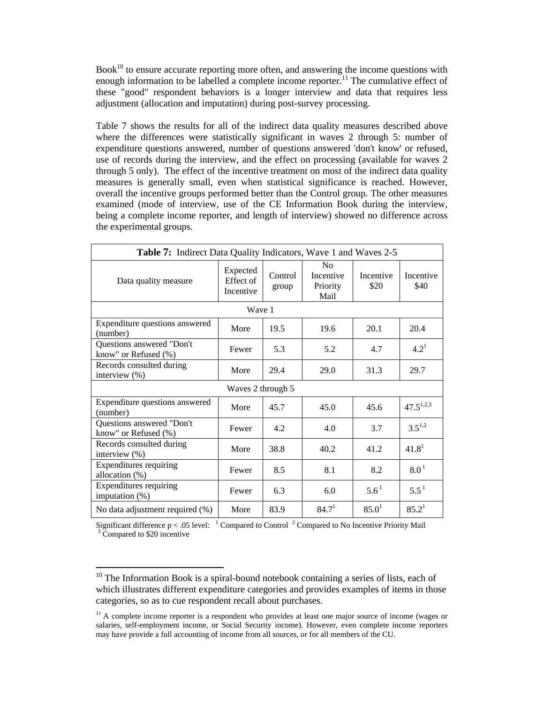$Book<sup>10</sup>$  to ensure accurate reporting more often, and answering the income questions with enough information to be labelled a complete income reporter.<sup>11</sup> The cumulative effect of these "good" respondent behaviors is a longer interview and data that requires less adjustment (allocation and imputation) during post-survey processing.

Table 7 shows the results for all of the indirect data quality measures described above where the differences were statistically significant in waves 2 through 5: number of expenditure questions answered, number of questions answered 'don't know' or refused, use of records during the interview, and the effect on processing (available for waves 2 through 5 only). The effect of the incentive treatment on most of the indirect data quality measures is generally small, even when statistical significance is reached. However, overall the incentive groups performed better than the Control group. The other measures examined (mode of interview, use of the CE Information Book during the interview, being a complete income reporter, and length of interview) showed no difference across the experimental groups.

| <b>Table 7:</b> Indirect Data Quality Indicators, Wave 1 and Waves 2-5 |                                    |                  |                                                 |                   |                   |  |
|------------------------------------------------------------------------|------------------------------------|------------------|-------------------------------------------------|-------------------|-------------------|--|
| Data quality measure                                                   | Expected<br>Effect of<br>Incentive | Control<br>group | N <sub>0</sub><br>Incentive<br>Priority<br>Mail | Incentive<br>\$20 | Incentive<br>\$40 |  |
|                                                                        | Wave 1                             |                  |                                                 |                   |                   |  |
| Expenditure questions answered<br>(number)                             | More                               | 19.5             | 19.6                                            | 20.1              | 20.4              |  |
| Questions answered "Don't<br>know" or Refused (%)                      | Fewer                              | 5.3              | 5.2                                             | 4.7               | $4.2^1$           |  |
| Records consulted during<br>interview (%)                              | More                               | 29.4             | 29.0                                            | 31.3              | 29.7              |  |
|                                                                        | Waves 2 through 5                  |                  |                                                 |                   |                   |  |
| Expenditure questions answered<br>(number)                             | More                               | 45.7             | 45.0                                            | 45.6              | $47.5^{1,2,3}$    |  |
| Questions answered "Don't<br>know" or Refused (%)                      | Fewer                              | 4.2              | 4.0                                             | 3.7               | $3.5^{1,2}$       |  |
| Records consulted during<br>interview (%)                              | More                               | 38.8             | 40.2                                            | 41.2              | 41.8 <sup>1</sup> |  |
| Expenditures requiring<br>allocation (%)                               | Fewer                              | 8.5              | 8.1                                             | 8.2               | 8.0 <sup>1</sup>  |  |
| <b>Expenditures requiring</b><br>imputation $(\%)$                     | Fewer                              | 6.3              | 6.0                                             | $5.6^1$           | $5.5^{\text{1}}$  |  |
| No data adjustment required (%)                                        | More                               | 83.9             | 84.7 <sup>1</sup>                               | 85.0 <sup>1</sup> | 85.2 <sup>1</sup> |  |

Significant difference  $p < .05$  level: <sup>1</sup> Compared to Control <sup>2</sup> Compared to No Incentive Priority Mail  $\frac{3}{2}$  Compared to \$20 incentive  $3\text{ Compared}$  to \$20 incentive

 $10$  The Information Book is a spiral-bound notebook containing a series of lists, each of which illustrates different expenditure categories and provides examples of items in those categories, so as to cue respondent recall about purchases.

 $11$  A complete income reporter is a respondent who provides at least one major source of income (wages or salaries, self-employment income, or Social Security income). However, even complete income reporters may have provide a full accounting of income from all sources, or for all members of the CU.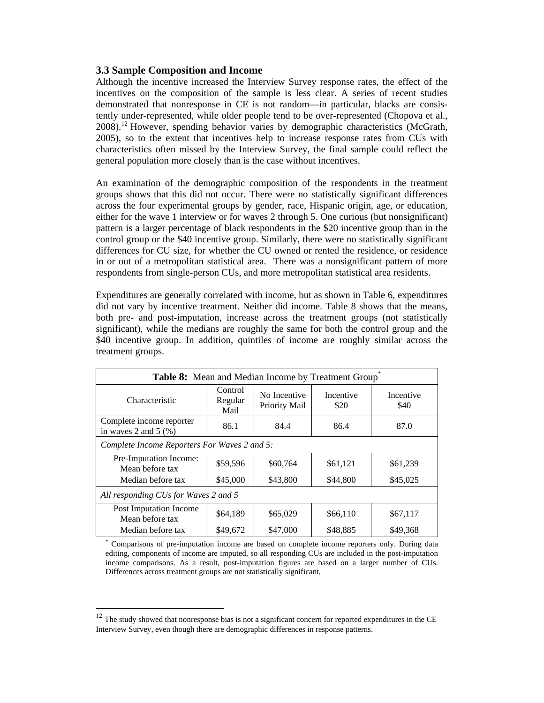### **3.3 Sample Composition and Income**

Although the incentive increased the Interview Survey response rates, the effect of the incentives on the composition of the sample is less clear. A series of recent studies demonstrated that nonresponse in CE is not random—in particular, blacks are consistently under-represented, while older people tend to be over-represented (Chopova et al., 2008).<sup>12</sup> However, spending behavior varies by demographic characteristics (McGrath, 2005), so to the extent that incentives help to increase response rates from CUs with characteristics often missed by the Interview Survey, the final sample could reflect the general population more closely than is the case without incentives.

An examination of the demographic composition of the respondents in the treatment groups shows that this did not occur. There were no statistically significant differences across the four experimental groups by gender, race, Hispanic origin, age, or education, either for the wave 1 interview or for waves 2 through 5. One curious (but nonsignificant) pattern is a larger percentage of black respondents in the \$20 incentive group than in the control group or the \$40 incentive group. Similarly, there were no statistically significant differences for CU size, for whether the CU owned or rented the residence, or residence in or out of a metropolitan statistical area. There was a nonsignificant pattern of more respondents from single-person CUs, and more metropolitan statistical area residents.

Expenditures are generally correlated with income, but as shown in Table 6, expenditures did not vary by incentive treatment. Neither did income. Table 8 shows that the means, both pre- and post-imputation, increase across the treatment groups (not statistically significant), while the medians are roughly the same for both the control group and the \$40 incentive group. In addition, quintiles of income are roughly similar across the treatment groups.

| Table 8: Mean and Median Income by Treatment Group  |                            |                               |                   |                   |  |  |  |
|-----------------------------------------------------|----------------------------|-------------------------------|-------------------|-------------------|--|--|--|
| Characteristic                                      | Control<br>Regular<br>Mail | No Incentive<br>Priority Mail | Incentive<br>\$20 | Incentive<br>\$40 |  |  |  |
| Complete income reporter<br>in waves 2 and 5 $(\%)$ | 86.1                       | 84.4                          | 86.4              | 87.0              |  |  |  |
| Complete Income Reporters For Waves 2 and 5:        |                            |                               |                   |                   |  |  |  |
| Pre-Imputation Income:<br>Mean before tax           | \$59,596                   | \$60,764                      | \$61,121          | \$61,239          |  |  |  |
| Median before tax                                   | \$45,000                   | \$43,800                      | \$44,800          | \$45,025          |  |  |  |
| All responding CUs for Waves 2 and 5                |                            |                               |                   |                   |  |  |  |
| Post Imputation Income<br>Mean before tax           | \$64,189                   | \$65,029                      | \$66,110          | \$67,117          |  |  |  |
| Median before tax                                   | \$49,672                   | \$47,000                      | \$48,885          | \$49.368          |  |  |  |

Comparisons of pre-imputation income are based on complete income reporters only. During data editing, components of income are imputed, so all responding CUs are included in the post-imputation income comparisons. As a result, post-imputation figures are based on a larger number of CUs. Differences across treatment groups are not statistically significant,

 $12$  The study showed that nonresponse bias is not a significant concern for reported expenditures in the CE Interview Survey, even though there are demographic differences in response patterns.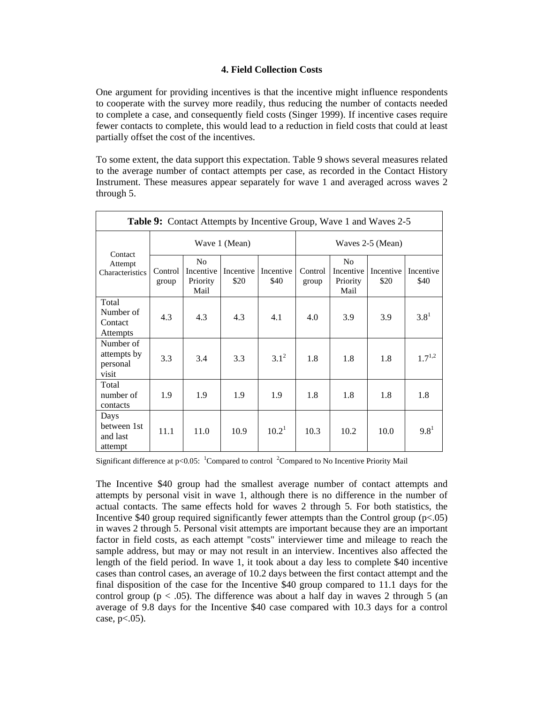### **4. Field Collection Costs**

One argument for providing incentives is that the incentive might influence respondents to cooperate with the survey more readily, thus reducing the number of contacts needed to complete a case, and consequently field costs (Singer 1999). If incentive cases require fewer contacts to complete, this would lead to a reduction in field costs that could at least partially offset the cost of the incentives.

To some extent, the data support this expectation. Table 9 shows several measures related to the average number of contact attempts per case, as recorded in the Contact History Instrument. These measures appear separately for wave 1 and averaged across waves 2 through 5.

| <b>Table 9:</b> Contact Attempts by Incentive Group, Wave 1 and Waves 2-5 |                  |                                                 |                   |                   |                  |                                                 |                   |                   |
|---------------------------------------------------------------------------|------------------|-------------------------------------------------|-------------------|-------------------|------------------|-------------------------------------------------|-------------------|-------------------|
|                                                                           | Wave 1 (Mean)    |                                                 |                   |                   | Waves 2-5 (Mean) |                                                 |                   |                   |
| Contact<br>Attempt<br>Characteristics                                     | Control<br>group | N <sub>0</sub><br>Incentive<br>Priority<br>Mail | Incentive<br>\$20 | Incentive<br>\$40 | Control<br>group | N <sub>0</sub><br>Incentive<br>Priority<br>Mail | Incentive<br>\$20 | Incentive<br>\$40 |
| Total<br>Number of<br>Contact<br><b>Attempts</b>                          | 4.3              | 4.3                                             | 4.3               | 4.1               | 4.0              | 3.9                                             | 3.9               | $3.8^{1}$         |
| Number of<br>attempts by<br>personal<br>visit                             | 3.3              | 3.4                                             | 3.3               | $3.1^2$           | 1.8              | 1.8                                             | 1.8               | $1.7^{1,2}$       |
| Total<br>number of<br>contacts                                            | 1.9              | 1.9                                             | 1.9               | 1.9               | 1.8              | 1.8                                             | 1.8               | 1.8               |
| Days<br>between 1st<br>and last<br>attempt                                | 11.1             | 11.0                                            | 10.9              | $10.2^1$          | 10.3             | 10.2                                            | 10.0              | $9.8^{1}$         |

Significant difference at  $p<0.05$ : <sup>1</sup>Compared to control <sup>2</sup>Compared to No Incentive Priority Mail

The Incentive \$40 group had the smallest average number of contact attempts and attempts by personal visit in wave 1, although there is no difference in the number of actual contacts. The same effects hold for waves 2 through 5. For both statistics, the Incentive \$40 group required significantly fewer attempts than the Control group  $(p<0.05)$ in waves 2 through 5. Personal visit attempts are important because they are an important factor in field costs, as each attempt "costs" interviewer time and mileage to reach the sample address, but may or may not result in an interview. Incentives also affected the length of the field period. In wave 1, it took about a day less to complete \$40 incentive cases than control cases, an average of 10.2 days between the first contact attempt and the final disposition of the case for the Incentive \$40 group compared to 11.1 days for the control group ( $p < .05$ ). The difference was about a half day in waves 2 through 5 (an average of 9.8 days for the Incentive \$40 case compared with 10.3 days for a control case,  $p<.05$ ).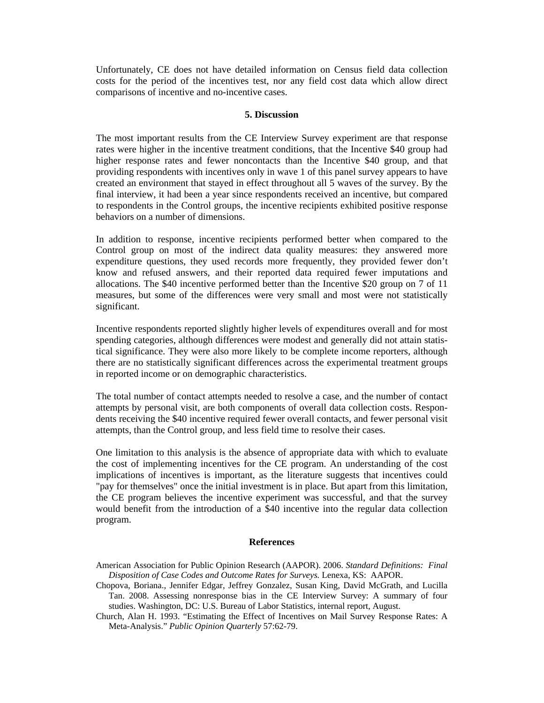Unfortunately, CE does not have detailed information on Census field data collection costs for the period of the incentives test, nor any field cost data which allow direct comparisons of incentive and no-incentive cases.

#### **5. Discussion**

The most important results from the CE Interview Survey experiment are that response rates were higher in the incentive treatment conditions, that the Incentive \$40 group had higher response rates and fewer noncontacts than the Incentive \$40 group, and that providing respondents with incentives only in wave 1 of this panel survey appears to have created an environment that stayed in effect throughout all 5 waves of the survey. By the final interview, it had been a year since respondents received an incentive, but compared to respondents in the Control groups, the incentive recipients exhibited positive response behaviors on a number of dimensions.

In addition to response, incentive recipients performed better when compared to the Control group on most of the indirect data quality measures: they answered more expenditure questions, they used records more frequently, they provided fewer don't know and refused answers, and their reported data required fewer imputations and allocations. The \$40 incentive performed better than the Incentive \$20 group on 7 of 11 measures, but some of the differences were very small and most were not statistically significant.

Incentive respondents reported slightly higher levels of expenditures overall and for most spending categories, although differences were modest and generally did not attain statistical significance. They were also more likely to be complete income reporters, although there are no statistically significant differences across the experimental treatment groups in reported income or on demographic characteristics.

The total number of contact attempts needed to resolve a case, and the number of contact attempts by personal visit, are both components of overall data collection costs. Respondents receiving the \$40 incentive required fewer overall contacts, and fewer personal visit attempts, than the Control group, and less field time to resolve their cases.

One limitation to this analysis is the absence of appropriate data with which to evaluate the cost of implementing incentives for the CE program. An understanding of the cost implications of incentives is important, as the literature suggests that incentives could "pay for themselves" once the initial investment is in place. But apart from this limitation, the CE program believes the incentive experiment was successful, and that the survey would benefit from the introduction of a \$40 incentive into the regular data collection program.

#### **References**

- American Association for Public Opinion Research (AAPOR). 2006. *Standard Definitions: Final Disposition of Case Codes and Outcome Rates for Surveys.* Lenexa, KS: AAPOR.
- Chopova, Boriana., Jennifer Edgar, Jeffrey Gonzalez, Susan King, David McGrath, and Lucilla Tan. 2008. Assessing nonresponse bias in the CE Interview Survey: A summary of four studies. Washington, DC: U.S. Bureau of Labor Statistics, internal report, August.

Meta-Analysis." *Public Opinion Quarterly* 57:62-79. Church, Alan H. 1993. "Estimating the Effect of Incentives on Mail Survey Response Rates: A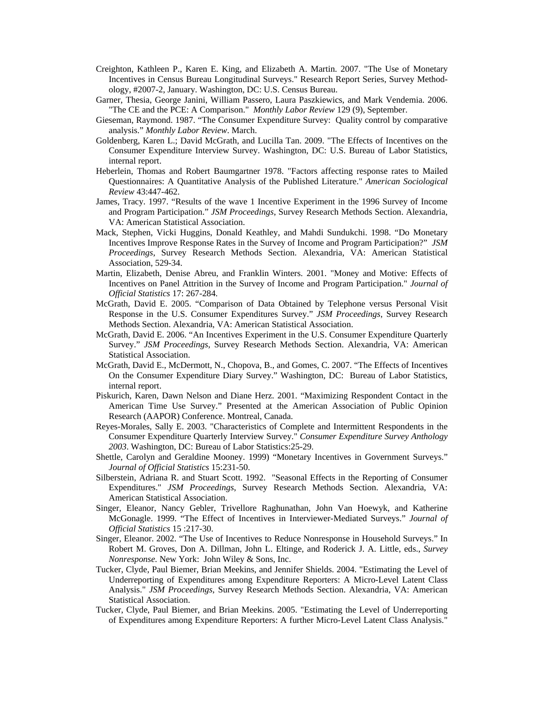- Creighton, Kathleen P., Karen E. King, and Elizabeth A. Martin. 2007. "The Use of Monetary Incentives in Census Bureau Longitudinal Surveys." Research Report Series, Survey Methodology, #2007-2, January. Washington, DC: U.S. Census Bureau.
- Garner, Thesia, George Janini, William Passero, Laura Paszkiewics, and Mark Vendemia. 2006. "The CE and the PCE: A Comparison." *Monthly Labor Review* 129 (9), September.
- Gieseman, Raymond. 1987. "The Consumer Expenditure Survey: Quality control by comparative analysis." *Monthly Labor Review*. March.
- Goldenberg, Karen L.; David McGrath, and Lucilla Tan. 2009. "The Effects of Incentives on the Consumer Expenditure Interview Survey. Washington, DC: U.S. Bureau of Labor Statistics, internal report.
- Heberlein, Thomas and Robert Baumgartner 1978. "Factors affecting response rates to Mailed Questionnaires: A Quantitative Analysis of the Published Literature." *American Sociological Review* 43:447-462.
- James, Tracy. 1997. "Results of the wave 1 Incentive Experiment in the 1996 Survey of Income and Program Participation." *JSM Proceedings*, Survey Research Methods Section. Alexandria, VA: American Statistical Association.
- Mack, Stephen, Vicki Huggins, Donald Keathley, and Mahdi Sundukchi. 1998. "Do Monetary Incentives Improve Response Rates in the Survey of Income and Program Participation?" *JSM Proceedings*, Survey Research Methods Section. Alexandria, VA: American Statistical Association, 529-34.
- Martin, Elizabeth, Denise Abreu, and Franklin Winters. 2001. "Money and Motive: Effects of Incentives on Panel Attrition in the Survey of Income and Program Participation." *Journal of Official Statistics* 17: 267-284.
- McGrath, David E. 2005. "Comparison of Data Obtained by Telephone versus Personal Visit Response in the U.S. Consumer Expenditures Survey." *JSM Proceedings*, Survey Research Methods Section. Alexandria, VA: American Statistical Association.
- McGrath, David E. 2006. "An Incentives Experiment in the U.S. Consumer Expenditure Quarterly Survey." *JSM Proceedings*, Survey Research Methods Section. Alexandria, VA: American Statistical Association.
- McGrath, David E., McDermott, N., Chopova, B., and Gomes, C. 2007. "The Effects of Incentives On the Consumer Expenditure Diary Survey." Washington, DC: Bureau of Labor Statistics, internal report.
- Piskurich, Karen, Dawn Nelson and Diane Herz. 2001. "Maximizing Respondent Contact in the American Time Use Survey." Presented at the American Association of Public Opinion Research (AAPOR) Conference. Montreal, Canada.
- Reyes-Morales, Sally E. 2003. "Characteristics of Complete and Intermittent Respondents in the Consumer Expenditure Quarterly Interview Survey." *Consumer Expenditure Survey Anthology 2003*. Washington, DC: Bureau of Labor Statistics:25-29.
- Shettle, Carolyn and Geraldine Mooney. 1999) "Monetary Incentives in Government Surveys." *Journal of Official Statistics* 15:231-50.
- Silberstein, Adriana R. and Stuart Scott. 1992. "Seasonal Effects in the Reporting of Consumer Expenditures." *JSM Proceedings*, Survey Research Methods Section. Alexandria, VA: American Statistical Association.
- Singer, Eleanor, Nancy Gebler, Trivellore Raghunathan, John Van Hoewyk, and Katherine McGonagle. 1999. "The Effect of Incentives in Interviewer-Mediated Surveys." *Journal of Official Statistics* 15 :217-30.
- Singer, Eleanor. 2002. "The Use of Incentives to Reduce Nonresponse in Household Surveys." In Robert M. Groves, Don A. Dillman, John L. Eltinge, and Roderick J. A. Little, eds., *Survey Nonresponse.* New York: John Wiley & Sons, Inc.
- Tucker, Clyde, Paul Biemer, Brian Meekins, and Jennifer Shields. 2004. "Estimating the Level of Underreporting of Expenditures among Expenditure Reporters: A Micro-Level Latent Class Analysis." *JSM Proceedings*, Survey Research Methods Section. Alexandria, VA: American Statistical Association.
- Tucker, Clyde, Paul Biemer, and Brian Meekins. 2005. "Estimating the Level of Underreporting of Expenditures among Expenditure Reporters: A further Micro-Level Latent Class Analysis."